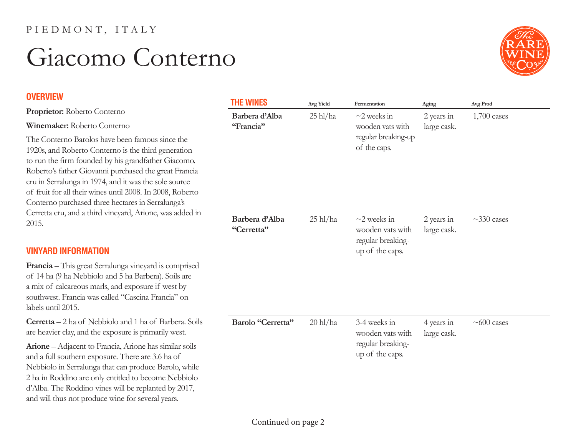## PIEDMONT, ITALY

## Giacomo Conterno

#### **OVERVIEW**

**Proprietor:** Roberto Conterno

#### **Winemaker:** Roberto Conterno

The Conterno Barolos have been famous since the 1920s, and Roberto Conterno is the third generation to run the firm founded by his grandfather Giacomo. Roberto's father Giovanni purchased the great Francia cru in Serralunga in 1974, and it was the sole source of fruit for all their wines until 2008. In 2008, Roberto Conterno purchased three hectares in Serralunga's Cerretta cru, and a third vineyard, Arione, was added in 2015.

#### **VINYARD INFORMATION**

**Francia** – This great Serralunga vineyard is comprised of 14 ha (9 ha Nebbiolo and 5 ha Barbera). Soils are a mix of calcareous marls, and exposure if west by southwest. Francia was called "Cascina Francia" on labels until 2015.

**Cerretta** – 2 ha of Nebbiolo and 1 ha of Barbera. Soils are heavier clay, and the exposure is primarily west.

**Arione** – Adjacent to Francia, Arione has similar soils and a full southern exposure. There are 3.6 ha of Nebbiolo in Serralunga that can produce Barolo, while 2 ha in Roddino are only entitled to become Nebbiolo d'Alba. The Roddino vines will be replanted by 2017, and will thus not produce wine for several years.